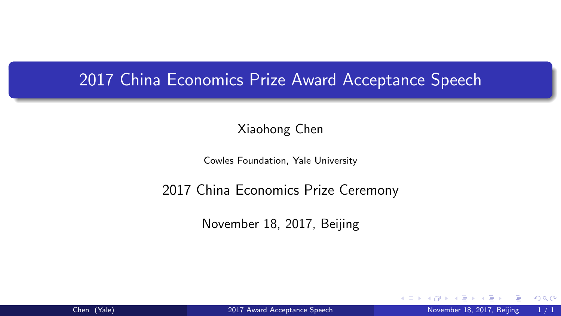#### <span id="page-0-0"></span>2017 China Economics Prize Award Acceptance Speech

Xiaohong Chen

Cowles Foundation, Yale University

#### 2017 China Economics Prize Ceremony

November 18, 2017, Beijing

4 D F

 $\Omega$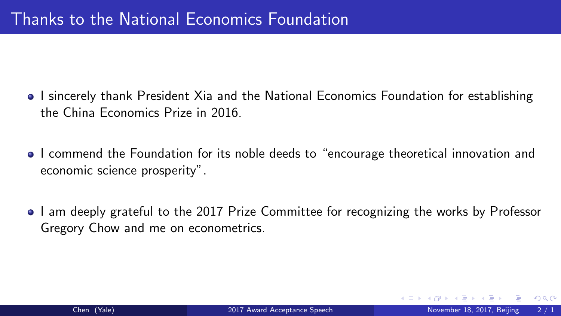- I sincerely thank President Xia and the National Economics Foundation for establishing the China Economics Prize in 2016.
- I commend the Foundation for its noble deeds to "encourage theoretical innovation and economic science prosperity".
- I am deeply grateful to the 2017 Prize Committee for recognizing the works by Professor Gregory Chow and me on econometrics.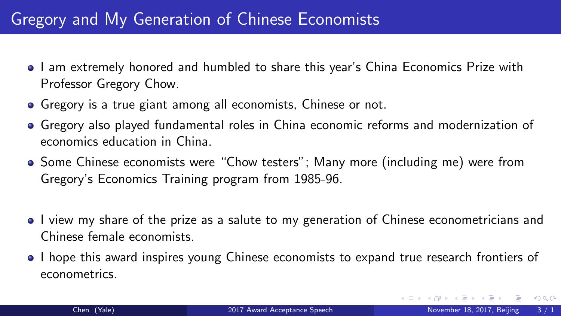### Gregory and My Generation of Chinese Economists

- I am extremely honored and humbled to share this year's China Economics Prize with Professor Gregory Chow.
- Gregory is a true giant among all economists, Chinese or not.
- Gregory also played fundamental roles in China economic reforms and modernization of economics education in China.
- Some Chinese economists were "Chow testers"; Many more (including me) were from Gregory's Economics Training program from 1985-96.
- I view my share of the prize as a salute to my generation of Chinese econometricians and Chinese female economists.
- I hope this award inspires young Chinese economists to expand true research frontiers of econometrics.

- 3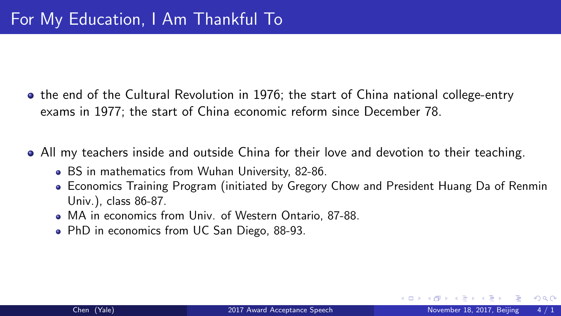- the end of the Cultural Revolution in 1976; the start of China national college-entry exams in 1977; the start of China economic reform since December 78.
- All my teachers inside and outside China for their love and devotion to their teaching.
	- BS in mathematics from Wuhan University, 82-86.
	- Economics Training Program (initiated by Gregory Chow and President Huang Da of Renmin Univ.), class 86-87.
	- MA in economics from Univ. of Western Ontario, 87-88.
	- PhD in economics from UC San Diego, 88-93.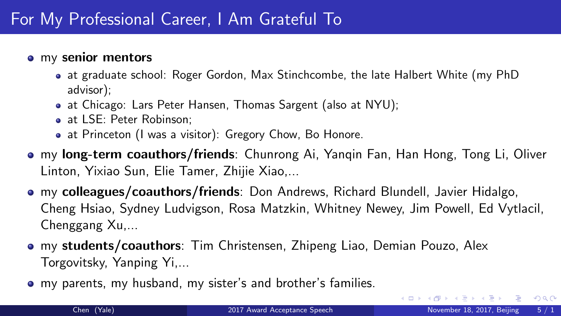### For My Professional Career, I Am Grateful To

#### • my senior mentors

- at graduate school: Roger Gordon, Max Stinchcombe, the late Halbert White (my PhD advisor);
- at Chicago: Lars Peter Hansen, Thomas Sargent (also at NYU);
- at LSE: Peter Robinson:
- at Princeton (I was a visitor): Gregory Chow, Bo Honore.
- my long-term coauthors/friends: Chunrong Ai, Yanqin Fan, Han Hong, Tong Li, Oliver Linton, Yixiao Sun, Elie Tamer, Zhijie Xiao,...
- my colleagues/coauthors/friends: Don Andrews, Richard Blundell, Javier Hidalgo, Cheng Hsiao, Sydney Ludvigson, Rosa Matzkin, Whitney Newey, Jim Powell, Ed Vytlacil, Chenggang Xu,...
- **my students/coauthors**: Tim Christensen, Zhipeng Liao, Demian Pouzo, Alex Torgovitsky, Yanping Yi,...
- my parents, my husband, my sister's and brother's families.

그 그는 그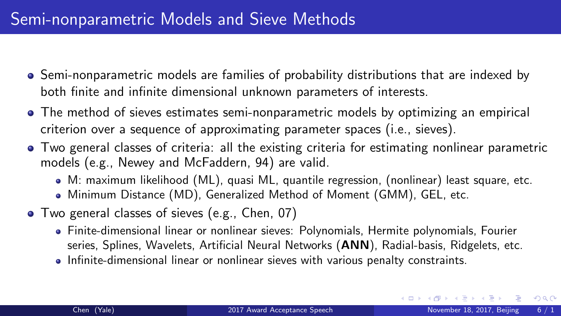- Semi-nonparametric models are families of probability distributions that are indexed by both finite and infinite dimensional unknown parameters of interests.
- The method of sieves estimates semi-nonparametric models by optimizing an empirical criterion over a sequence of approximating parameter spaces (i.e., sieves).
- Two general classes of criteria: all the existing criteria for estimating nonlinear parametric models (e.g., Newey and McFaddern, 94) are valid.
	- M: maximum likelihood (ML), quasi ML, quantile regression, (nonlinear) least square, etc.
	- Minimum Distance (MD), Generalized Method of Moment (GMM), GEL, etc.
- Two general classes of sieves (e.g., Chen, 07)
	- Finite-dimensional linear or nonlinear sieves: Polynomials, Hermite polynomials, Fourier series, Splines, Wavelets, Artificial Neural Networks (ANN), Radial-basis, Ridgelets, etc.
	- Infinite-dimensional linear or nonlinear sieves with various penalty constraints.

イロト イ母 ト イヨ ト イヨ ト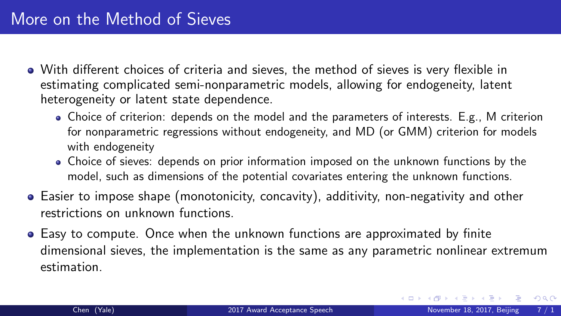- With different choices of criteria and sieves, the method of sieves is very flexible in estimating complicated semi-nonparametric models, allowing for endogeneity, latent heterogeneity or latent state dependence.
	- Choice of criterion: depends on the model and the parameters of interests. E.g., M criterion for nonparametric regressions without endogeneity, and MD (or GMM) criterion for models with endogeneity
	- Choice of sieves: depends on prior information imposed on the unknown functions by the model, such as dimensions of the potential covariates entering the unknown functions.
- Easier to impose shape (monotonicity, concavity), additivity, non-negativity and other restrictions on unknown functions.
- Easy to compute. Once when the unknown functions are approximated by finite dimensional sieves, the implementation is the same as any parametric nonlinear extremum estimation.

D.

 $298$ 

おす悪お す悪お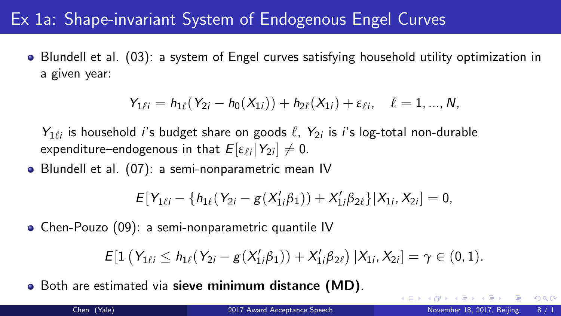### <span id="page-7-0"></span>Ex 1a: Shape-invariant System of Endogenous Engel Curves

Blundell et al. (03): a system of Engel curves satisfying household utility optimization in a given year:

$$
Y_{1\ell i} = h_{1\ell}(Y_{2i} - h_0(X_{1i})) + h_{2\ell}(X_{1i}) + \varepsilon_{\ell i}, \quad \ell = 1, ..., N,
$$

 $Y_{1\ell i}$  is household *i*'s budget share on goods  $\ell$ ,  $Y_{2i}$  is *i*'s log-total non-durable expenditure–endogenous in that  $E[\varepsilon_{\ell i} | Y_{2i}] \neq 0$ .

Blundell et al. (07): a semi-nonparametric mean IV

$$
E[Y_{1\ell i}-\{h_{1\ell}(Y_{2i}-g(X_{1i}'\beta_{1}))+X_{1i}'\beta_{2\ell}\}|X_{1i},X_{2i}]=0,
$$

Chen-Pouzo (09): a semi-nonparametric quantile IV

$$
E[1\left(Y_{1\ell i} \leq h_{1\ell}(Y_{2i} - g(X'_{1i}\beta_{1})) + X'_{1i}\beta_{2\ell}\right) | X_{1i}, X_{2i}] = \gamma \in (0, 1).
$$

Both are estimated via sieve minimum distance (MD).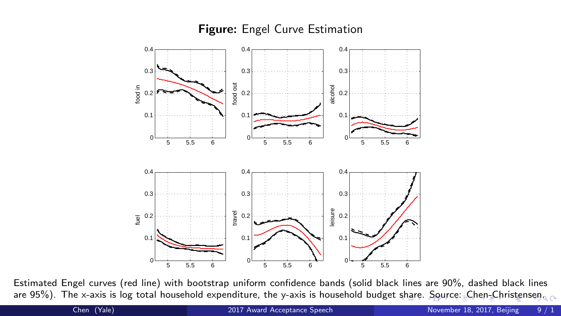#### Figure: Engel Curve Estimation



Estimated Engel curves (red line) with bootstrap uniform confidence bands (solid black lines are 90%, dashed black lines are 95%). The x-axis is log total household expenditure, the y-axis is household budget [sh](#page-7-0)a[re. Source: Chen-Christense](#page-0-0)n.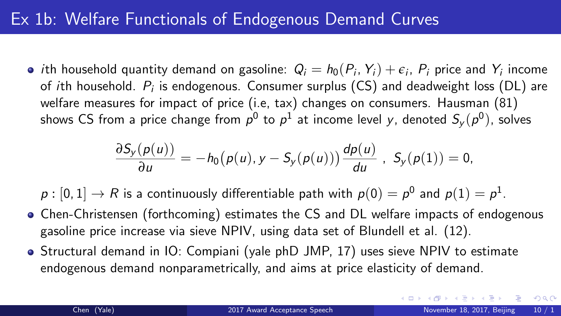### <span id="page-9-0"></span>Ex 1b: Welfare Functionals of Endogenous Demand Curves

*i*th household quantity demand on gasoline:  $Q_i = h_0(P_i, Y_i) + \epsilon_i$ ,  $P_i$  price and  $Y_i$  income of  $i$ th household.  $P_i$  is endogenous. Consumer surplus (CS) and deadweight loss (DL) are welfare measures for impact of price (i.e, tax) changes on consumers. Hausman (81) shows CS from a price change from  $\rho^0$  to  $\rho^1$  at income level  $\mathcal{y},$  denoted  $S_\mathcal{y}(\rho^0),$  solves

$$
\frac{\partial S_y(p(u))}{\partial u} = -h_0(p(u), y - S_y(p(u))) \frac{dp(u)}{du}, S_y(p(1)) = 0,
$$

 $\rho:[0,1]\rightarrow R$  is a continuously differentiable path with  $\rho(0)=\rho^0$  and  $\rho(1)=\rho^1.$ 

- Chen-Christensen (forthcoming) estimates the CS and DL welfare impacts of endogenous gasoline price increase via sieve NPIV, using data set of Blundell et al. (12).
- Structural demand in IO: Compiani (yale phD JMP, 17) uses sieve NPIV to estimate endogenous demand nonparametrically, and aims at price elasticity of demand.

 $\Omega$ 

イロメ イ何 メイヨメ イヨメーヨ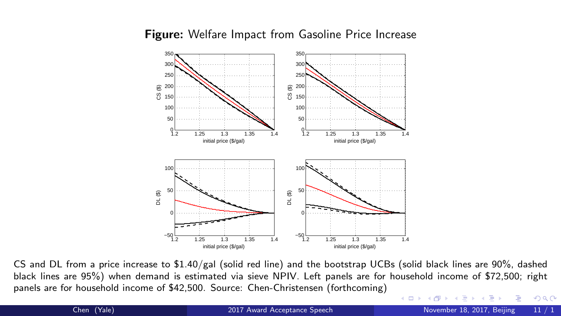

#### Figure: Welfare Impact from Gasoline Price Increase

black lines are 95%) when demand is estimated via sieve NPIV. Left panels are for household income of \$72,500; right panels are for household income of \$42,500. Source: Chen-Christensen (forthcoming) CS and DL from a price increase to \$1.40/gal (solid red line) and the bootstrap UCBs (solid black lines are 90%, dashed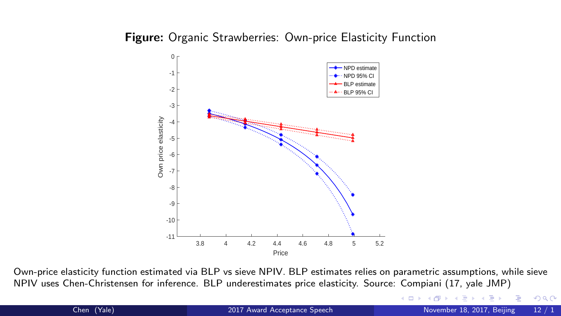#### **Figure:** Organic Strawberries: Own-price Elasticity Function



Own-price elasticity function estimated via BLP vs sieve NPIV. BLP estimates relies on parametric assumptions, while sieve NPIV uses Chen-Christensen for inference. BLP underestimates price elasticity. Source: Compiani (17, yale JMP)

∢⊡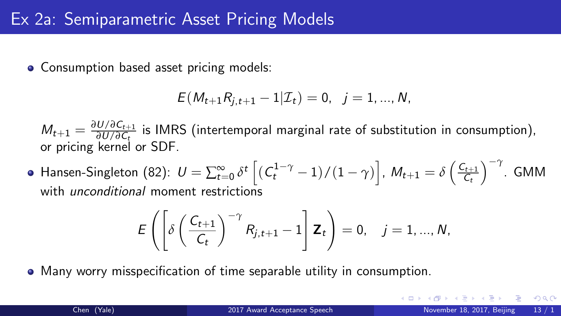• Consumption based asset pricing models:

$$
E(M_{t+1}R_{j,t+1}-1|\mathcal{I}_t)=0, \ \ j=1,...,N,
$$

 $M_{t+1} = \frac{\partial U/\partial C_{t+1}}{\partial U/\partial C_t}$ *∂<sup>U/∂Ct+1</sup> is IMRS (intertemporal marginal rate of substitution in consumption),*<br>∂U/∂Ct or pricing kernel or SDF.

Hansen-Singleton (82):  $U=\sum_{t=0}^{\infty}\delta^{t}\left[(\mathit{C}_{t}^{1-\gamma}-1)/(1-\gamma)\right]$ ,  $M_{t+1}=\delta\left(\frac{\mathit{C}_{t+1}}{\mathit{C}_{t}}\right)$  $C_t$ −*<sup>γ</sup>* . GMM with *unconditional* moment restrictions

$$
E\left(\left[\delta\left(\frac{C_{t+1}}{C_t}\right)^{-\gamma}R_{j,t+1}-1\right]\mathbf{Z}_t\right)=0, \quad j=1,...,N,
$$

Many worry misspecification of time separable utility in consumption.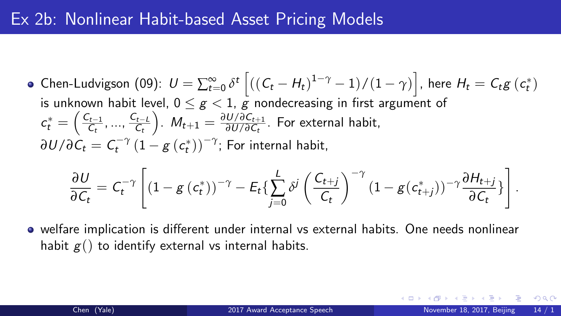### Ex 2b: Nonlinear Habit-based Asset Pricing Models

Chen-Ludvigson (09):  $U = \sum_{t=0}^{\infty} \delta^t \left[ ((C_t - H_t)^{1-\gamma} - 1)/(1-\gamma) \right]$ , here  $H_t = C_t g(c_t^*)$ is unknown habit level,  $0 \leq g \leq 1$ , g nondecreasing in first argument of  $\mathbf{\mathsf{c}}_t^* = \Bigl( \frac{\mathsf{C}_{t-1}}{\mathsf{C}_{t}}$  $\frac{C_{t-1}}{C_t},...,\frac{C_{t-L}}{C_t}$  $C_t$ ).  $M_{t+1} = \frac{\partial U/\partial C_{t+1}}{\partial U/\partial C_t}$ *<sup>U/∂C<sub>t</sub>*+1</sub>. For external habit,</sup>  $\partial U/\partial \overline{\mathcal{C}}_t = \mathcal{C}^{-\gamma}_t \left(1 - g\left(\mathcal{c}_t^*\right)\right)^{-\gamma}$ ; For internal habit,

$$
\frac{\partial U}{\partial C_t} = C_t^{-\gamma} \left[ (1 - g(c_t^*))^{-\gamma} - E_t \left\{ \sum_{j=0}^L \delta^j \left( \frac{C_{t+j}}{C_t} \right)^{-\gamma} (1 - g(c_{t+j}^*))^{-\gamma} \frac{\partial H_{t+j}}{\partial C_t} \right\} \right].
$$

welfare implication is different under internal vs external habits. One needs nonlinear habit  $g()$  to identify external vs internal habits.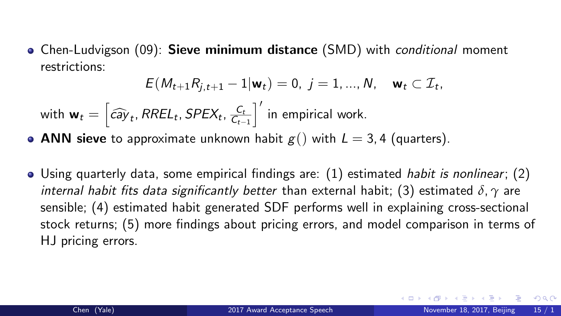• Chen-Ludvigson (09): Sieve minimum distance (SMD) with *conditional* moment restrictions:

$$
E(M_{t+1}R_{j,t+1}-1|\mathbf{w}_t)=0, \ j=1,...,N, \quad \mathbf{w}_t \subset \mathcal{I}_t,
$$

with  $\mathbf{w}_t = \left[ \widehat{cay}_t, RREL_t, SPEX_t, \frac{C_t}{C_{t-1}} \right]$  $C_{t-1}$  $\left.\rule{0pt}{12pt}\right]^{\prime}$  in empirical work.

- ANN sieve to approximate unknown habit  $g()$  with  $L = 3, 4$  (quarters).
- $\bullet$  Using quarterly data, some empirical findings are: (1) estimated *habit is nonlinear*; (2) internal habit fits data significantly better than external habit; (3) estimated *δ*, *γ* are sensible; (4) estimated habit generated SDF performs well in explaining cross-sectional stock returns; (5) more findings about pricing errors, and model comparison in terms of HJ pricing errors.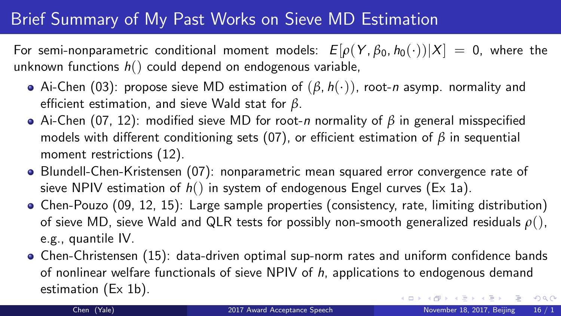## Brief Summary of My Past Works on Sieve MD Estimation

For semi-nonparametric conditional moment models:  $E[\rho(Y, \beta_0, h_0(\cdot))|X] = 0$ , where the unknown functions  $h()$  could depend on endogenous variable,

- Ai-Chen (03): propose sieve MD estimation of (*β*, h(·)), root-n asymp. normality and efficient estimation, and sieve Wald stat for *β*.
- Ai-Chen (07, 12): modified sieve MD for root-n normality of *β* in general misspecified models with different conditioning sets (07), or efficient estimation of *β* in sequential moment restrictions (12).
- Blundell-Chen-Kristensen (07): nonparametric mean squared error convergence rate of sieve NPIV estimation of  $h()$  in system of endogenous Engel curves (Ex 1a).
- Chen-Pouzo (09, 12, 15): Large sample properties (consistency, rate, limiting distribution) of sieve MD, sieve Wald and QLR tests for possibly non-smooth generalized residuals *ρ*(), e.g., quantile IV.
- Chen-Christensen (15): data-driven optimal sup-norm rates and uniform confidence bands of nonlinear welfare functionals of sieve NPIV of  $h$ , applications to endogenous demand estimation (Ex 1b).  $A \equiv \begin{pmatrix} 1 & 0 & 0 \\ 0 & 0 & 0 \\ 0 & 0 & 0 \end{pmatrix} \in A \Rightarrow A \equiv \begin{pmatrix} 1 & 0 & 0 \\ 0 & 0 & 0 \\ 0 & 0 & 0 \end{pmatrix} \in A$  $299$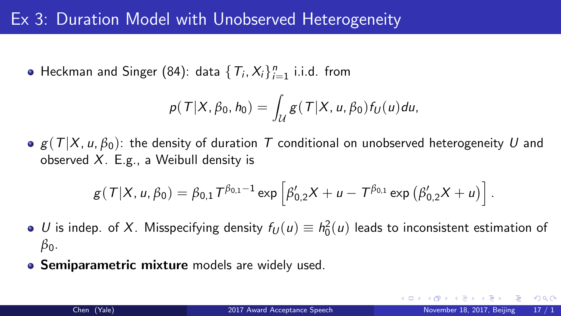### Ex 3: Duration Model with Unobserved Heterogeneity

Heckman and Singer (84): data  $\{T_i, X_i\}_{i=1}^n$  i.i.d. from

$$
p(T|X,\beta_0,h_0)=\int_{\mathcal{U}}g(T|X,u,\beta_0)f_U(u)du,
$$

 $g(T|X, u, \beta_0)$ : the density of duration T conditional on unobserved heterogeneity U and observed  $X$ . E.g., a Weibull density is

$$
g(T|X, u, \beta_0) = \beta_{0,1} T^{\beta_{0,1}-1} \exp \left[\beta'_{0,2} X + u - T^{\beta_{0,1}} \exp \left(\beta'_{0,2} X + u\right)\right].
$$

- U is indep. of X. Misspecifying density  $f_U(u) \equiv h_0^2(u)$  leads to inconsistent estimation of *β*0.
- **Semiparametric mixture** models are widely used.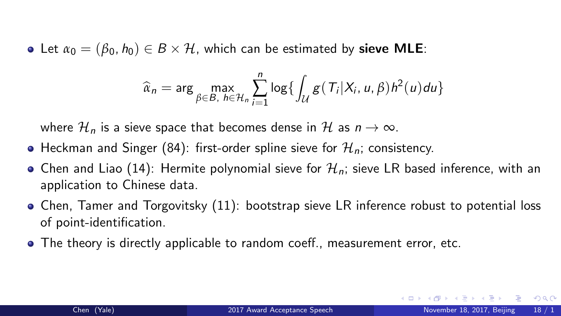• Let  $\alpha_0 = (\beta_0, h_0) \in B \times \mathcal{H}$ , which can be estimated by **sieve MLE**:

$$
\widehat{\alpha}_n = \arg \max_{\beta \in B, h \in \mathcal{H}_n} \sum_{i=1}^n \log \{ \int_{\mathcal{U}} g(T_i | X_i, u, \beta) h^2(u) du \}
$$

where  $\mathcal{H}_n$  is a sieve space that becomes dense in  $\mathcal{H}$  as  $n \to \infty$ .

- Heckman and Singer (84): first-order spline sieve for  $\mathcal{H}_n$ ; consistency.
- Chen and Liao (14): Hermite polynomial sieve for  $\mathcal{H}_n$ ; sieve LR based inference, with an application to Chinese data.
- Chen, Tamer and Torgovitsky (11): bootstrap sieve LR inference robust to potential loss of point-identification.
- The theory is directly applicable to random coeff., measurement error, etc.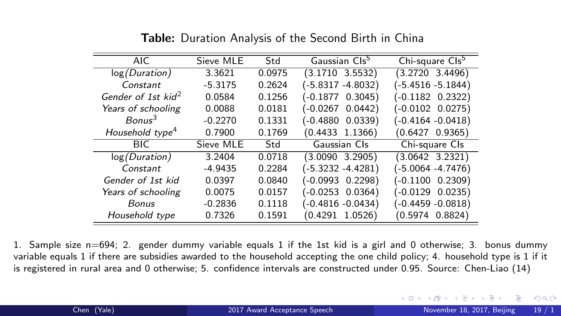| AIC.                           | Sieve MLE | Std    | Gaussian Cls <sup>5</sup> | Chi-square Cls <sup>5</sup> |
|--------------------------------|-----------|--------|---------------------------|-----------------------------|
| log(Duration)                  | 3.3621    | 0.0975 | (3.1710 3.5532)           | $(3.2720 \t3.4496)$         |
| Constant                       | $-5.3175$ | 0.2624 | (-5.8317 -4.8032)         | (-5.4516 -5.1844)           |
| Gender of 1st kid <sup>2</sup> | 0.0584    | 0.1256 | $(-0.1877$ 0.3045)        | $(-0.1182 \t 0.2322)$       |
| Years of schooling             | 0.0088    | 0.0181 | (-0.0267 0.0442)          | $(-0.0102 0.0275)$          |
| $B \circ n \circ n^3$          | $-0.2270$ | 0.1331 | $(-0.4880$ 0.0339)        | (-0.4164 -0.0418)           |
| Household type <sup>4</sup>    | 0.7900    | 0.1769 | $(0.4433 \t1.1366)$       | (0.6427 0.9365)             |
| <b>BIC</b>                     | Sieve MLE | Std    | Gaussian Cls              | Chi-square Cls              |
| log(Duration)                  | 3.2404    | 0.0718 | $(3.0090 \t3.2905)$       | (3.0642 3.2321)             |
| Constant                       | $-4.9435$ | 0.2284 | (-5.3232 -4.4281)         | (-5.0064 -4.7476)           |
| Gender of 1st kid              | 0.0397    | 0.0840 | $(-0.0993 \t 0.2298)$     | (-0.1100 0.2309)            |
| Years of schooling             | 0.0075    | 0.0157 | (-0.0253 0.0364)          | $(-0.0129 0.0235)$          |
| Bonus                          | $-0.2836$ | 0.1118 | (-0.4816 -0.0434)         | (-0.4459 -0.0818)           |
| Household type                 | 0.7326    | 0.1591 | 0.4291<br>1.0526          | 0.8824)<br>(0.5974          |

Table: Duration Analysis of the Second Birth in China

1. Sample size n=694; 2. gender dummy variable equals 1 if the 1st kid is a girl and 0 otherwise; 3. bonus dummy variable equals 1 if there are subsidies awarded to the household accepting the one child policy; 4. household type is 1 if it is registered in rural area and 0 otherwise; 5. confidence intervals are constructed under 0.95. Source: Chen-Liao (14)

画

 $299$ 

イロト イ押ト イヨト イヨト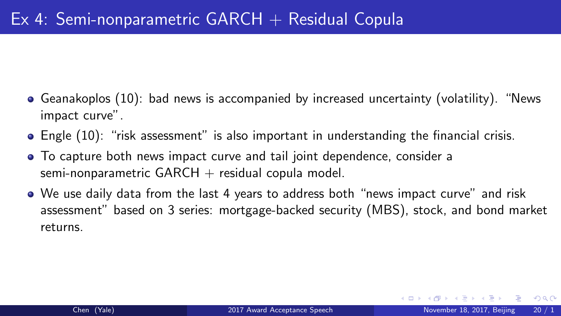- Geanakoplos (10): bad news is accompanied by increased uncertainty (volatility). "News impact curve".
- Engle (10): "risk assessment" is also important in understanding the financial crisis.
- To capture both news impact curve and tail joint dependence, consider a semi-nonparametric  $GARCH + residual copula model$ .
- We use daily data from the last 4 years to address both "news impact curve" and risk assessment" based on 3 series: mortgage-backed security (MBS), stock, and bond market returns.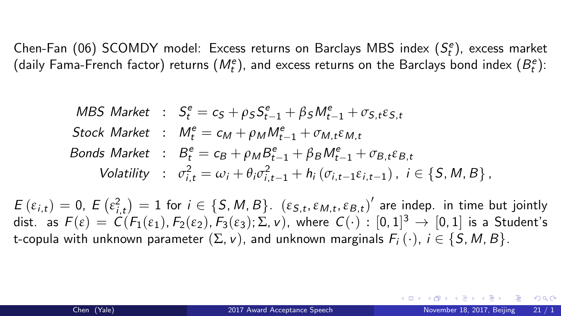Chen-Fan (06) SCOMDY model: Excess returns on Barclays MBS index  $(S_t^e)$ , excess market (daily Fama-French factor) returns ( $M_t^e$ ), and excess returns on the Barclays bond index  $(B_t^e)$ :

$$
\begin{aligned}\n\text{MBS Market} &\; : \quad S_t^e = c_S + \rho_S S_{t-1}^e + \beta_S M_{t-1}^e + \sigma_{S,t} \varepsilon_{S,t} \\
\text{Stock Market} &\; : \quad M_t^e = c_M + \rho_M M_{t-1}^e + \sigma_{M,t} \varepsilon_{M,t} \\
\text{Bonds Market} &\; : \quad B_t^e = c_B + \rho_M B_{t-1}^e + \beta_B M_{t-1}^e + \sigma_{B,t} \varepsilon_{B,t} \\
\text{Volatility} &\; : \quad \sigma_{i,t}^2 = \omega_i + \theta_i \sigma_{i,t-1}^2 + h_i \left( \sigma_{i,t-1} \varepsilon_{i,t-1} \right), \quad i \in \{S, M, B\} \,.\n\end{aligned}
$$

 $E(\varepsilon_{i,t}) = 0$ ,  $E(\varepsilon_{i,t}^2) = 1$  for  $i \in \{S, M, B\}$ .  $(\varepsilon_{S,t}, \varepsilon_{M,t}, \varepsilon_{B,t})'$  are indep. in time but jointly dist. as  $F(\varepsilon)\,=\, \mathcal{C}(F_1(\varepsilon_1),F_2(\varepsilon_2),F_3(\varepsilon_3);\Sigma,\nu),$  where  $\,\mathcal{C}(\cdot)\,:\,[0,1]^3\,\to\,[0,1]\,$  is a <code>Student's</code> t-copula with unknown parameter  $(\Sigma, v)$ , and unknown marginals  $F_i(\cdot)$ ,  $i \in \{S, M, B\}$ .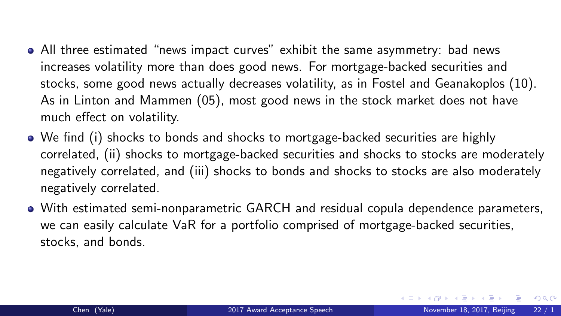- <span id="page-21-0"></span>All three estimated "news impact curves" exhibit the same asymmetry: bad news increases volatility more than does good news. For mortgage-backed securities and stocks, some good news actually decreases volatility, as in Fostel and Geanakoplos (10). As in Linton and Mammen (05), most good news in the stock market does not have much effect on volatility.
- We find (i) shocks to bonds and shocks to mortgage-backed securities are highly correlated, (ii) shocks to mortgage-backed securities and shocks to stocks are moderately negatively correlated, and (iii) shocks to bonds and shocks to stocks are also moderately negatively correlated.
- With estimated semi-nonparametric GARCH and residual copula dependence parameters, we can easily calculate VaR for a portfolio comprised of mortgage-backed securities, stocks, and bonds.

D.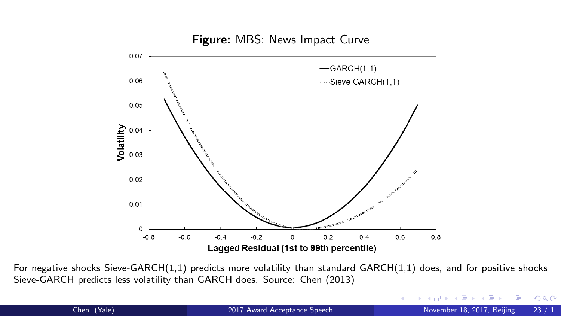

Me volatility than st Sieve-GARCH predicts less volatility than GARCH does. Source: Chen (2013) For negative shocks Sieve-GARCH(1,1) predicts more volatility than standard GARCH(1,1) does, and for positive shocks

(:0004)

(:0252)

 $\left\langle \cdot|\square\right\rangle$ 

(:0057)

Ε

 $299$ 

Þ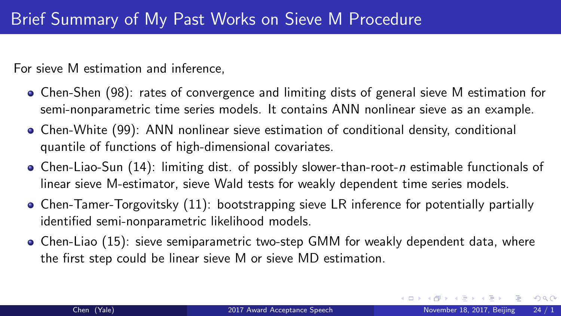For sieve M estimation and inference,

- Chen-Shen (98): rates of convergence and limiting dists of general sieve M estimation for semi-nonparametric time series models. It contains ANN nonlinear sieve as an example.
- Chen-White (99): ANN nonlinear sieve estimation of conditional density, conditional quantile of functions of high-dimensional covariates.
- Chen-Liao-Sun (14): limiting dist. of possibly slower-than-root-n estimable functionals of linear sieve M-estimator, sieve Wald tests for weakly dependent time series models.
- Chen-Tamer-Torgovitsky (11): bootstrapping sieve LR inference for potentially partially identified semi-nonparametric likelihood models.
- Chen-Liao (15): sieve semiparametric two-step GMM for weakly dependent data, where the first step could be linear sieve M or sieve MD estimation.

- 3

 $298$ 

医阿雷氏阿雷氏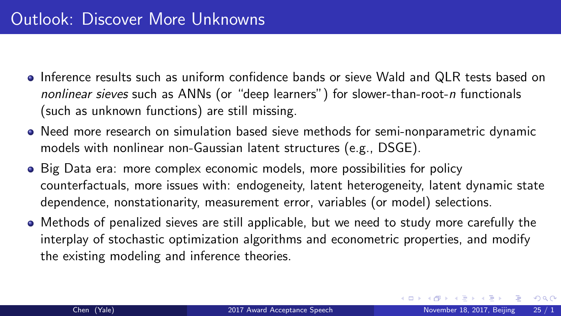- Inference results such as uniform confidence bands or sieve Wald and QLR tests based on nonlinear sieves such as ANNs (or "deep learners") for slower-than-root-n functionals (such as unknown functions) are still missing.
- Need more research on simulation based sieve methods for semi-nonparametric dynamic models with nonlinear non-Gaussian latent structures (e.g., DSGE).
- Big Data era: more complex economic models, more possibilities for policy counterfactuals, more issues with: endogeneity, latent heterogeneity, latent dynamic state dependence, nonstationarity, measurement error, variables (or model) selections.
- Methods of penalized sieves are still applicable, but we need to study more carefully the interplay of stochastic optimization algorithms and econometric properties, and modify the existing modeling and inference theories.